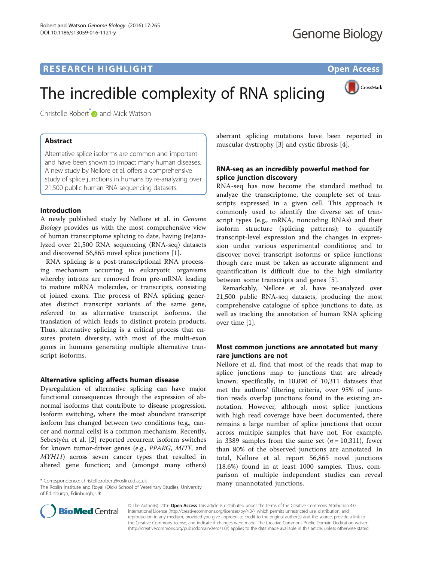CrossMark

# The incredible complexity of RNA splicing

Christelle Robert<sup>[\\*](http://orcid.org/0000-0002-6033-1341)</sup> and Mick Watson

# Abstract

Alternative splice isoforms are common and important and have been shown to impact many human diseases. A new study by Nellore et al. offers a comprehensive study of splice junctions in humans by re-analyzing over 21,500 public human RNA sequencing datasets.

# Introduction

A newly published study by Nellore et al. in Genome Biology provides us with the most comprehensive view of human transcriptome splicing to date, having (re)analyzed over 21,500 RNA sequencing (RNA-seq) datasets and discovered 56,865 novel splice junctions [\[1\]](#page-1-0).

RNA splicing is a post-transcriptional RNA processing mechanism occurring in eukaryotic organisms whereby introns are removed from pre-mRNA leading to mature mRNA molecules, or transcripts, consisting of joined exons. The process of RNA splicing generates distinct transcript variants of the same gene, referred to as alternative transcript isoforms, the translation of which leads to distinct protein products. Thus, alternative splicing is a critical process that ensures protein diversity, with most of the multi-exon genes in humans generating multiple alternative transcript isoforms.

## Alternative splicing affects human disease

Dysregulation of alternative splicing can have major functional consequences through the expression of abnormal isoforms that contribute to disease progression. Isoform switching, where the most abundant transcript isoform has changed between two conditions (e.g., cancer and normal cells) is a common mechanism. Recently, Sebestyén et al. [\[2](#page-1-0)] reported recurrent isoform switches for known tumor-driver genes (e.g., PPARG, MITF, and MYH11) across seven cancer types that resulted in altered gene function; and (amongst many others)

\* Correspondence: [christelle.robert@roslin.ed.ac.uk](mailto:christelle.robert@roslin.ed.ac.uk)

The Roslin Institute and Royal (Dick) School of Veterinary Studies, University of Edinburgh, Edinburgh, UK

aberrant splicing mutations have been reported in muscular dystrophy [[3\]](#page-1-0) and cystic fibrosis [[4\]](#page-1-0).

# RNA-seq as an incredibly powerful method for splice junction discovery

RNA-seq has now become the standard method to analyze the transcriptome, the complete set of transcripts expressed in a given cell. This approach is commonly used to identify the diverse set of transcript types (e.g., mRNA, noncoding RNAs) and their isoform structure (splicing patterns); to quantify transcript-level expression and the changes in expression under various experimental conditions; and to discover novel transcript isoforms or splice junctions; though care must be taken as accurate alignment and quantification is difficult due to the high similarity between some transcripts and genes [[5\]](#page-1-0).

Remarkably, Nellore et al. have re-analyzed over 21,500 public RNA-seq datasets, producing the most comprehensive catalogue of splice junctions to date, as well as tracking the annotation of human RNA splicing over time [[1\]](#page-1-0).

# Most common junctions are annotated but many rare junctions are not

Nellore et al. find that most of the reads that map to splice junctions map to junctions that are already known; specifically, in 10,090 of 10,311 datasets that met the authors' filtering criteria, over 95% of junction reads overlap junctions found in the existing annotation. However, although most splice junctions with high read coverage have been documented, there remains a large number of splice junctions that occur across multiple samples that have not. For example, in 3389 samples from the same set  $(n = 10,311)$ , fewer than 80% of the observed junctions are annotated. In total, Nellore et al. report 56,865 novel junctions (18.6%) found in at least 1000 samples. Thus, comparison of multiple independent studies can reveal many unannotated junctions.



© The Author(s). 2016 Open Access This article is distributed under the terms of the Creative Commons Attribution 4.0 International License [\(http://creativecommons.org/licenses/by/4.0/](http://creativecommons.org/licenses/by/4.0/)), which permits unrestricted use, distribution, and reproduction in any medium, provided you give appropriate credit to the original author(s) and the source, provide a link to the Creative Commons license, and indicate if changes were made. The Creative Commons Public Domain Dedication waiver [\(http://creativecommons.org/publicdomain/zero/1.0/](http://creativecommons.org/publicdomain/zero/1.0/)) applies to the data made available in this article, unless otherwise stated.